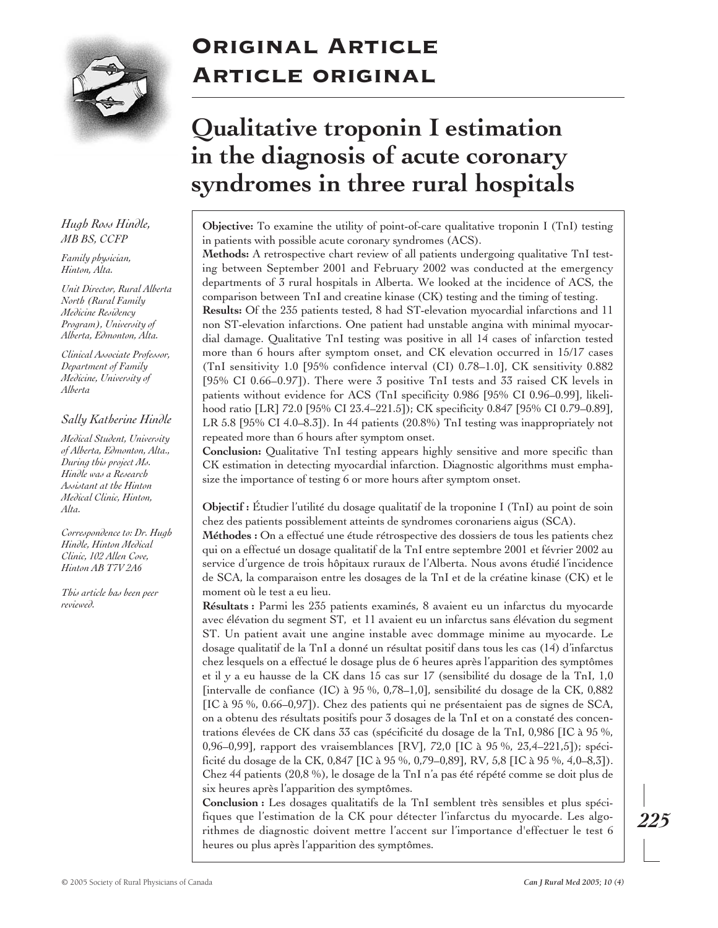

# Original Article Article original

# **Qualitative troponin I estimation in the diagnosis of acute coronary syndromes in three rural hospitals**

**Objective:** To examine the utility of point-of-care qualitative troponin I (TnI) testing in patients with possible acute coronary syndromes (ACS).

**Methods:** A retrospective chart review of all patients undergoing qualitative TnI testing between September 2001 and February 2002 was conducted at the emergency departments of 3 rural hospitals in Alberta. We looked at the incidence of ACS, the comparison between TnI and creatine kinase (CK) testing and the timing of testing. **Results:** Of the 235 patients tested, 8 had ST-elevation myocardial infarctions and 11 non ST-elevation infarctions. One patient had unstable angina with minimal myocardial damage. Qualitative TnI testing was positive in all 14 cases of infarction tested more than 6 hours after symptom onset, and CK elevation occurred in 15/17 cases (TnI sensitivity 1.0 [95% confidence interval (CI) 0.78–1.0], CK sensitivity 0.882 [95% CI 0.66–0.97]). There were 3 positive TnI tests and 33 raised CK levels in patients without evidence for ACS (TnI specificity 0.986 [95% CI 0.96–0.99], likelihood ratio [LR] 72.0 [95% CI 23.4–221.5]); CK specificity 0.847 [95% CI 0.79–0.89], LR 5.8 [95% CI 4.0–8.3]). In 44 patients (20.8%) TnI testing was inappropriately not repeated more than 6 hours after symptom onset.

**Conclusion:** Qualitative TnI testing appears highly sensitive and more specific than CK estimation in detecting myocardial infarction. Diagnostic algorithms must emphasize the importance of testing 6 or more hours after symptom onset.

**Objectif :** Étudier l'utilité du dosage qualitatif de la troponine I (TnI) au point de soin chez des patients possiblement atteints de syndromes coronariens aigus (SCA).

**Méthodes :** On a effectué une étude rétrospective des dossiers de tous les patients chez qui on a effectué un dosage qualitatif de la TnI entre septembre 2001 et février 2002 au service d'urgence de trois hôpitaux ruraux de l'Alberta. Nous avons étudié l'incidence de SCA, la comparaison entre les dosages de la TnI et de la créatine kinase (CK) et le moment où le test a eu lieu.

**Résultats :** Parmi les 235 patients examinés, 8 avaient eu un infarctus du myocarde avec élévation du segment ST, et 11 avaient eu un infarctus sans élévation du segment ST. Un patient avait une angine instable avec dommage minime au myocarde. Le dosage qualitatif de la TnI a donné un résultat positif dans tous les cas (14) d'infarctus chez lesquels on a effectué le dosage plus de 6 heures après l'apparition des symptômes et il y a eu hausse de la CK dans 15 cas sur 17 (sensibilité du dosage de la TnI, 1,0 [intervalle de confiance (IC) à 95 %, 0,78–1,0], sensibilité du dosage de la CK, 0,882 [IC à 95 %, 0.66–0,97]). Chez des patients qui ne présentaient pas de signes de SCA, on a obtenu des résultats positifs pour 3 dosages de la TnI et on a constaté des concentrations élevées de CK dans 33 cas (spécificité du dosage de la TnI, 0,986 [IC à 95 %, 0,96–0,99], rapport des vraisemblances [RV], 72,0 [IC à 95 %, 23,4–221,5]); spécificité du dosage de la CK, 0,847 [IC à 95 %, 0,79–0,89], RV, 5,8 [IC à 95 %, 4,0–8,3]). Chez 44 patients (20,8 %), le dosage de la TnI n'a pas été répété comme se doit plus de six heures après l'apparition des symptômes.

**Conclusion :** Les dosages qualitatifs de la TnI semblent très sensibles et plus spécifiques que l'estimation de la CK pour détecter l'infarctus du myocarde. Les algorithmes de diagnostic doivent mettre l'accent sur l'importance d'effectuer le test 6 heures ou plus après l'apparition des symptômes.

*Hugh Ross Hindle, MB BS, CCFP*

*Family physician, Hinton, Alta.*

*Unit Director, Rural Alberta North (Rural Family Medicine Residency Program), University of Alberta, Edmonton, Alta.*

*Clinical Associate Professor, Department of Family Medicine, University of Alberta*

# *Sally Katherine Hindle*

*Medical Student, University of Alberta, Edmonton, Alta., During this project Ms. Hindle was a Research Assistant at the Hinton Medical Clinic, Hinton, Alta.*

*Correspondence to: Dr. Hugh Hindle, Hinton Medical Clinic, 102 Allen Cove, Hinton AB T7V 2A6*

*This article has been peer reviewed.*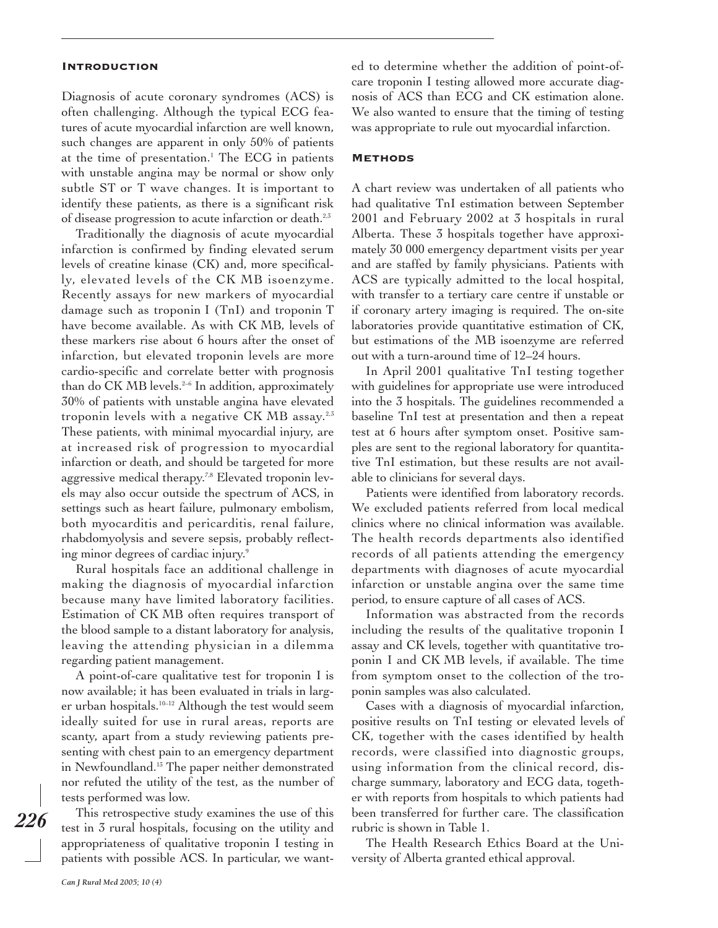#### Introduction

Diagnosis of acute coronary syndromes (ACS) is often challenging. Although the typical ECG features of acute myocardial infarction are well known, such changes are apparent in only 50% of patients at the time of presentation.<sup>1</sup> The ECG in patients with unstable angina may be normal or show only subtle ST or T wave changes. It is important to identify these patients, as there is a significant risk of disease progression to acute infarction or death.<sup>2,3</sup>

Traditionally the diagnosis of acute myocardial infarction is confirmed by finding elevated serum levels of creatine kinase (CK) and, more specifically, elevated levels of the CK MB isoenzyme. Recently assays for new markers of myocardial damage such as troponin I (TnI) and troponin T have become available. As with CK MB, levels of these markers rise about 6 hours after the onset of infarction, but elevated troponin levels are more cardio-specific and correlate better with prognosis than do CK MB levels.<sup>2-6</sup> In addition, approximately 30% of patients with unstable angina have elevated troponin levels with a negative CK MB assay. $^{2,5}$ These patients, with minimal myocardial injury, are at increased risk of progression to myocardial infarction or death, and should be targeted for more aggressive medical therapy.<sup>7,8</sup> Elevated troponin levels may also occur outside the spectrum of ACS, in settings such as heart failure, pulmonary embolism, both myocarditis and pericarditis, renal failure, rhabdomyolysis and severe sepsis, probably reflecting minor degrees of cardiac injury.<sup>9</sup>

Rural hospitals face an additional challenge in making the diagnosis of myocardial infarction because many have limited laboratory facilities. Estimation of CK MB often requires transport of the blood sample to a distant laboratory for analysis, leaving the attending physician in a dilemma regarding patient management.

A point-of-care qualitative test for troponin I is now available; it has been evaluated in trials in larger urban hospitals.<sup>10-12</sup> Although the test would seem ideally suited for use in rural areas, reports are scanty, apart from a study reviewing patients presenting with chest pain to an emergency department in Newfoundland.<sup>13</sup> The paper neither demonstrated nor refuted the utility of the test, as the number of tests performed was low.

This retrospective study examines the use of this test in 3 rural hospitals, focusing on the utility and appropriateness of qualitative troponin I testing in patients with possible ACS. In particular, we wanted to determine whether the addition of point-ofcare troponin I testing allowed more accurate diagnosis of ACS than ECG and CK estimation alone. We also wanted to ensure that the timing of testing was appropriate to rule out myocardial infarction.

#### **METHODS**

A chart review was undertaken of all patients who had qualitative TnI estimation between September 2001 and February 2002 at 3 hospitals in rural Alberta. These 3 hospitals together have approximately 30 000 emergency department visits per year and are staffed by family physicians. Patients with ACS are typically admitted to the local hospital, with transfer to a tertiary care centre if unstable or if coronary artery imaging is required. The on-site laboratories provide quantitative estimation of CK, but estimations of the MB isoenzyme are referred out with a turn-around time of 12–24 hours.

In April 2001 qualitative TnI testing together with guidelines for appropriate use were introduced into the 3 hospitals. The guidelines recommended a baseline TnI test at presentation and then a repeat test at 6 hours after symptom onset. Positive samples are sent to the regional laboratory for quantitative TnI estimation, but these results are not available to clinicians for several days.

Patients were identified from laboratory records. We excluded patients referred from local medical clinics where no clinical information was available. The health records departments also identified records of all patients attending the emergency departments with diagnoses of acute myocardial infarction or unstable angina over the same time period, to ensure capture of all cases of ACS.

Information was abstracted from the records including the results of the qualitative troponin I assay and CK levels, together with quantitative troponin I and CK MB levels, if available. The time from symptom onset to the collection of the troponin samples was also calculated.

Cases with a diagnosis of myocardial infarction, positive results on TnI testing or elevated levels of CK, together with the cases identified by health records, were classified into diagnostic groups, using information from the clinical record, discharge summary, laboratory and ECG data, together with reports from hospitals to which patients had been transferred for further care. The classification rubric is shown in Table 1.

The Health Research Ethics Board at the University of Alberta granted ethical approval.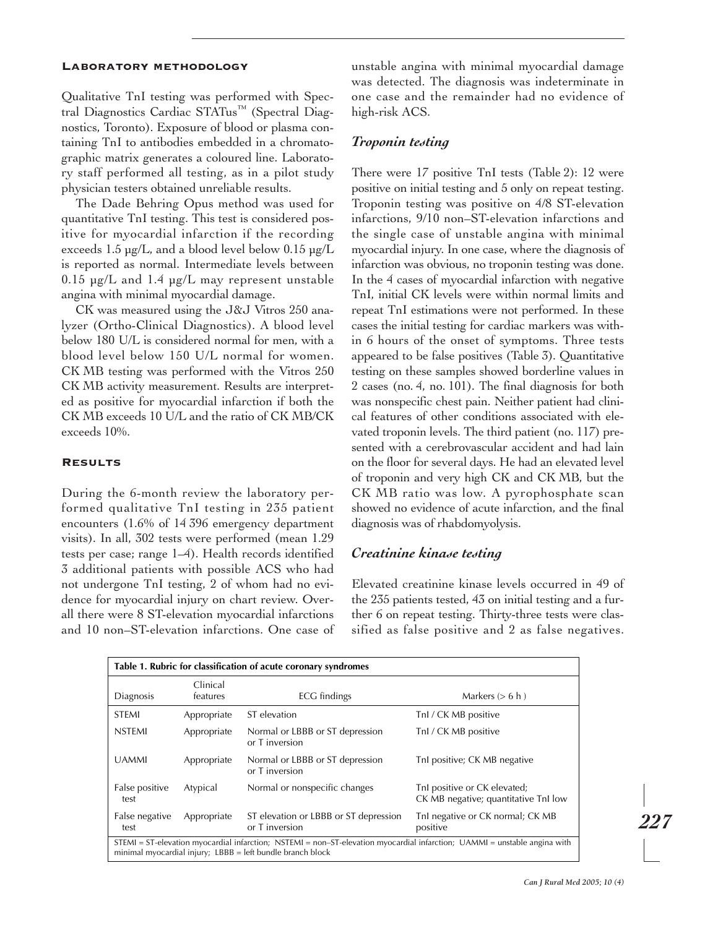#### Laboratory methodology

Qualitative TnI testing was performed with Spectral Diagnostics Cardiac STATus<sup>™</sup> (Spectral Diagnostics, Toronto). Exposure of blood or plasma containing TnI to antibodies embedded in a chromatographic matrix generates a coloured line. Laboratory staff performed all testing, as in a pilot study physician testers obtained unreliable results.

The Dade Behring Opus method was used for quantitative TnI testing. This test is considered positive for myocardial infarction if the recording exceeds 1.5 µg/L, and a blood level below 0.15 µg/L is reported as normal. Intermediate levels between 0.15  $\mu$ g/L and 1.4  $\mu$ g/L may represent unstable angina with minimal myocardial damage.

CK was measured using the J&J Vitros 250 analyzer (Ortho-Clinical Diagnostics). A blood level below 180 U/L is considered normal for men, with a blood level below 150 U/L normal for women. CK MB testing was performed with the Vitros 250 CK MB activity measurement. Results are interpreted as positive for myocardial infarction if both the CK MB exceeds 10 U/L and the ratio of CK MB/CK exceeds 10%.

### **RESULTS**

During the 6-month review the laboratory performed qualitative TnI testing in 235 patient encounters (1.6% of 14 396 emergency department visits). In all, 302 tests were performed (mean 1.29 tests per case; range 1–4). Health records identified 3 additional patients with possible ACS who had not undergone TnI testing, 2 of whom had no evidence for myocardial injury on chart review. Overall there were 8 ST-elevation myocardial infarctions and 10 non–ST-elevation infarctions. One case of unstable angina with minimal myocardial damage was detected. The diagnosis was indeterminate in one case and the remainder had no evidence of high-risk ACS.

# *Troponin testing*

There were 17 positive TnI tests (Table 2): 12 were positive on initial testing and 5 only on repeat testing. Troponin testing was positive on 4/8 ST-elevation infarctions, 9/10 non–ST-elevation infarctions and the single case of unstable angina with minimal myocardial injury. In one case, where the diagnosis of infarction was obvious, no troponin testing was done. In the 4 cases of myocardial infarction with negative TnI, initial CK levels were within normal limits and repeat TnI estimations were not performed. In these cases the initial testing for cardiac markers was within 6 hours of the onset of symptoms. Three tests appeared to be false positives (Table 3). Quantitative testing on these samples showed borderline values in 2 cases (no. 4, no. 101). The final diagnosis for both was nonspecific chest pain. Neither patient had clinical features of other conditions associated with elevated troponin levels. The third patient (no. 117) presented with a cerebrovascular accident and had lain on the floor for several days. He had an elevated level of troponin and very high CK and CK MB, but the CK MB ratio was low. A pyrophosphate scan showed no evidence of acute infarction, and the final diagnosis was of rhabdomyolysis.

# *Creatinine kinase testing*

Elevated creatinine kinase levels occurred in 49 of the 235 patients tested, 43 on initial testing and a further 6 on repeat testing. Thirty-three tests were classified as false positive and 2 as false negatives.

| Table 1. Rubric for classification of acute coronary syndromes                                                                                                                          |                      |                                                         |                                                                      |  |  |  |  |  |
|-----------------------------------------------------------------------------------------------------------------------------------------------------------------------------------------|----------------------|---------------------------------------------------------|----------------------------------------------------------------------|--|--|--|--|--|
| Diagnosis                                                                                                                                                                               | Clinical<br>features | ECG findings                                            | Markers $(> 6 h)$                                                    |  |  |  |  |  |
| <b>STEMI</b>                                                                                                                                                                            | Appropriate          | ST elevation                                            | Tnl / CK MB positive                                                 |  |  |  |  |  |
| <b>NSTEMI</b>                                                                                                                                                                           | Appropriate          | Normal or LBBB or ST depression<br>or T inversion       | Tnl / CK MB positive                                                 |  |  |  |  |  |
| <b>UAMMI</b>                                                                                                                                                                            | Appropriate          | Normal or LBBB or ST depression<br>or T inversion       | Tnl positive; CK MB negative                                         |  |  |  |  |  |
| False positive<br>test                                                                                                                                                                  | Atypical             | Normal or nonspecific changes                           | Tnl positive or CK elevated;<br>CK MB negative; quantitative TnI low |  |  |  |  |  |
| False negative<br>test                                                                                                                                                                  | Appropriate          | ST elevation or LBBB or ST depression<br>or T inversion | Tnl negative or CK normal; CK MB<br>positive                         |  |  |  |  |  |
| STEMI = ST-elevation myocardial infarction; NSTEMI = non-ST-elevation myocardial infarction; UAMMI = unstable angina with<br>minimal myocardial injury; LBBB = left bundle branch block |                      |                                                         |                                                                      |  |  |  |  |  |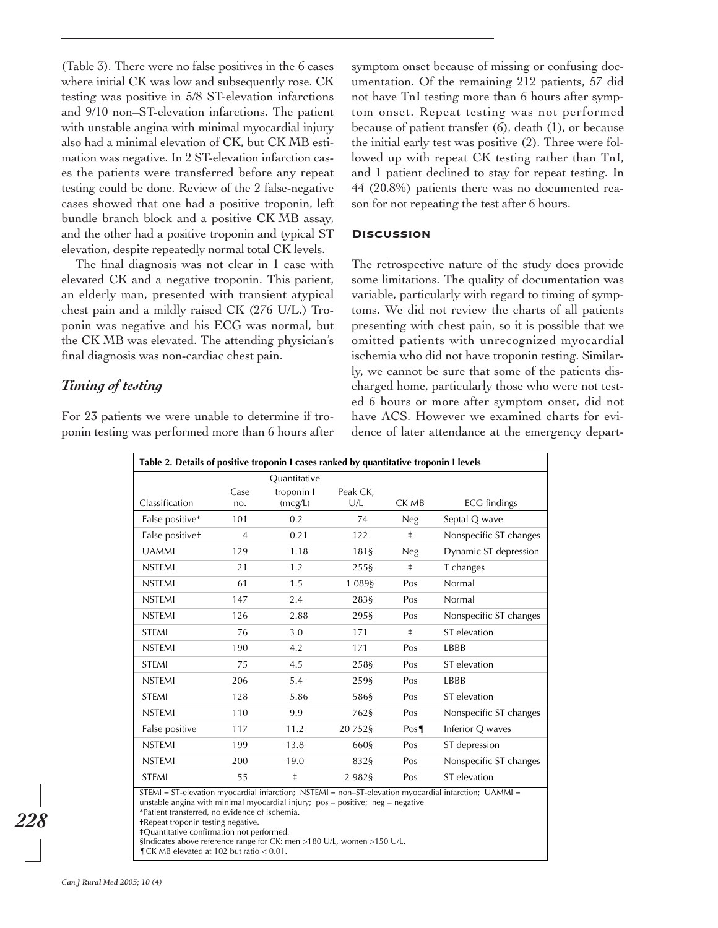(Table 3). There were no false positives in the 6 cases where initial CK was low and subsequently rose. CK testing was positive in 5/8 ST-elevation infarctions and 9/10 non–ST-elevation infarctions. The patient with unstable angina with minimal myocardial injury also had a minimal elevation of CK, but CK MB estimation was negative. In 2 ST-elevation infarction cases the patients were transferred before any repeat testing could be done. Review of the 2 false-negative cases showed that one had a positive troponin, left bundle branch block and a positive CK MB assay, and the other had a positive troponin and typical ST elevation, despite repeatedly normal total CK levels.

The final diagnosis was not clear in 1 case with elevated CK and a negative troponin. This patient, an elderly man, presented with transient atypical chest pain and a mildly raised CK (276 U/L.) Troponin was negative and his ECG was normal, but the CK MB was elevated. The attending physician's final diagnosis was non-cardiac chest pain.

# *Timing of testing*

For 23 patients we were unable to determine if troponin testing was performed more than 6 hours after symptom onset because of missing or confusing documentation. Of the remaining 212 patients, 57 did not have TnI testing more than 6 hours after symptom onset. Repeat testing was not performed because of patient transfer (6), death (1), or because the initial early test was positive (2). Three were followed up with repeat CK testing rather than TnI, and 1 patient declined to stay for repeat testing. In 44 (20.8%) patients there was no documented reason for not repeating the test after 6 hours.

#### **DISCUSSION**

The retrospective nature of the study does provide some limitations. The quality of documentation was variable, particularly with regard to timing of symptoms. We did not review the charts of all patients presenting with chest pain, so it is possible that we omitted patients with unrecognized myocardial ischemia who did not have troponin testing. Similarly, we cannot be sure that some of the patients discharged home, particularly those who were not tested 6 hours or more after symptom onset, did not have ACS. However we examined charts for evidence of later attendance at the emergency depart-

| Table 2. Details of positive troponin I cases ranked by quantitative troponin I levels                                                                                                                                                           |                |                       |                 |            |                        |  |  |  |
|--------------------------------------------------------------------------------------------------------------------------------------------------------------------------------------------------------------------------------------------------|----------------|-----------------------|-----------------|------------|------------------------|--|--|--|
|                                                                                                                                                                                                                                                  |                | Ouantitative          |                 |            |                        |  |  |  |
| Classification                                                                                                                                                                                                                                   | Case<br>no.    | troponin I<br>(mcg/L) | Peak CK,<br>U/L | CK MB      | <b>ECG</b> findings    |  |  |  |
| False positive*                                                                                                                                                                                                                                  | 101            | 0.2                   | 74              | <b>Neg</b> | Septal Q wave          |  |  |  |
| False positivet                                                                                                                                                                                                                                  | $\overline{4}$ | 0.21                  | 122             | $\ddagger$ | Nonspecific ST changes |  |  |  |
| <b>UAMMI</b>                                                                                                                                                                                                                                     | 129            | 1.18                  | 181§            | <b>Neg</b> | Dynamic ST depression  |  |  |  |
| <b>NSTEMI</b>                                                                                                                                                                                                                                    | 21             | 1.2                   | 255§            | ŧ          | T changes              |  |  |  |
| <b>NSTEMI</b>                                                                                                                                                                                                                                    | 61             | 1.5                   | 1 089§          | Pos        | Normal                 |  |  |  |
| <b>NSTFMI</b>                                                                                                                                                                                                                                    | 147            | 2.4                   | 283§            | Pos        | Normal                 |  |  |  |
| <b>NSTEMI</b>                                                                                                                                                                                                                                    | 126            | 2.88                  | 295§            | Pos        | Nonspecific ST changes |  |  |  |
| <b>STEMI</b>                                                                                                                                                                                                                                     | 76             | 3.0                   | 171             | $\ddagger$ | ST elevation           |  |  |  |
| <b>NSTEMI</b>                                                                                                                                                                                                                                    | 190            | 4.2                   | 171             | Pos        | LBBB                   |  |  |  |
| <b>STEMI</b>                                                                                                                                                                                                                                     | 75             | 4.5                   | 258§            | Pos        | ST elevation           |  |  |  |
| <b>NSTEMI</b>                                                                                                                                                                                                                                    | 206            | 5.4                   | 259§            | Pos        | LBBB                   |  |  |  |
| <b>STEMI</b>                                                                                                                                                                                                                                     | 128            | 5.86                  | 586§            | Pos        | ST elevation           |  |  |  |
| <b>NSTFMI</b>                                                                                                                                                                                                                                    | 110            | 9.9                   | 762§            | Pos        | Nonspecific ST changes |  |  |  |
| False positive                                                                                                                                                                                                                                   | 117            | 11.2                  | 207528          | Pos        | Inferior O waves       |  |  |  |
| <b>NSTFMI</b>                                                                                                                                                                                                                                    | 199            | 13.8                  | 660§            | Pos        | ST depression          |  |  |  |
| <b>NSTEMI</b>                                                                                                                                                                                                                                    | 200            | 19.0                  | 832§            | Pos        | Nonspecific ST changes |  |  |  |
| <b>STEMI</b>                                                                                                                                                                                                                                     | 55             | $\ddagger$            | 2982§           | Pos        | ST elevation           |  |  |  |
| $STEMI = ST-elevation$ myocardial infarction; $NSTEMI = non-T-elevation$ myocardial infarction; $UAMMI =$<br>unstable angina with minimal myocardial injury; $pos = positive$ ; neg = negative<br>*Patient transferred, no evidence of ischemia. |                |                       |                 |            |                        |  |  |  |

†Repeat troponin testing negative.

‡Quantitative confirmation not performed.

§Indicates above reference range for CK: men >180 U/L, women >150 U/L.

¶CK MB elevated at 102 but ratio < 0.01.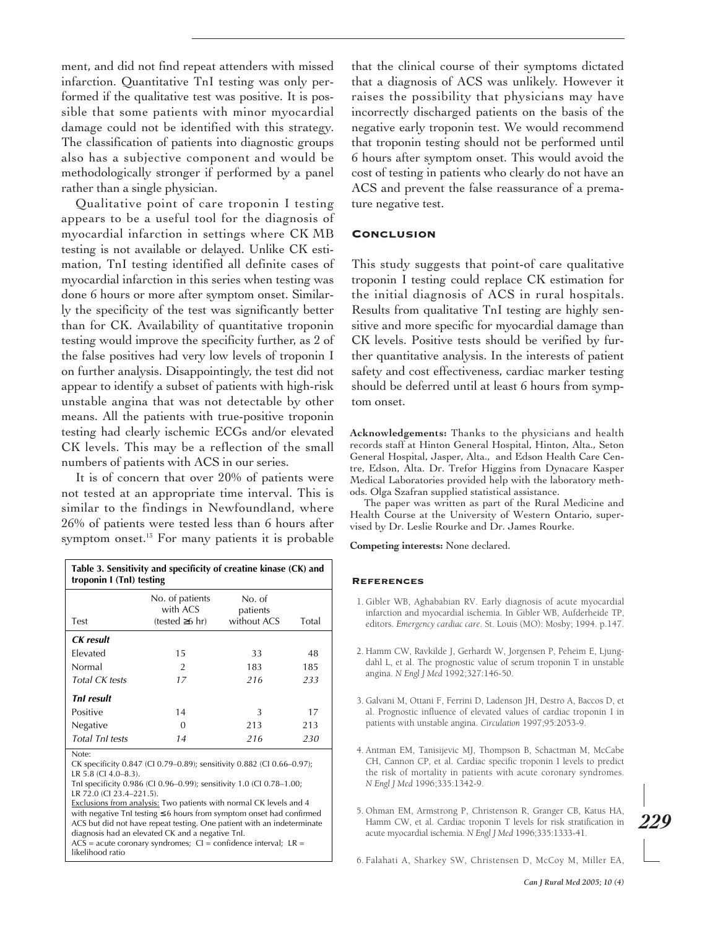ment, and did not find repeat attenders with missed infarction. Quantitative TnI testing was only performed if the qualitative test was positive. It is possible that some patients with minor myocardial damage could not be identified with this strategy. The classification of patients into diagnostic groups also has a subjective component and would be methodologically stronger if performed by a panel rather than a single physician.

Qualitative point of care troponin I testing appears to be a useful tool for the diagnosis of myocardial infarction in settings where CK MB testing is not available or delayed. Unlike CK estimation, TnI testing identified all definite cases of myocardial infarction in this series when testing was done 6 hours or more after symptom onset. Similarly the specificity of the test was significantly better than for CK. Availability of quantitative troponin testing would improve the specificity further, as 2 of the false positives had very low levels of troponin I on further analysis. Disappointingly, the test did not appear to identify a subset of patients with high-risk unstable angina that was not detectable by other means. All the patients with true-positive troponin testing had clearly ischemic ECGs and/or elevated CK levels. This may be a reflection of the small numbers of patients with ACS in our series.

It is of concern that over 20% of patients were not tested at an appropriate time interval. This is similar to the findings in Newfoundland, where 26% of patients were tested less than 6 hours after symptom onset.<sup>13</sup> For many patients it is probable

| Table 3. Sensitivity and specificity of creatine kinase (CK) and<br>troponin I (TnI) testing |                                                     |                                   |       |  |  |  |  |
|----------------------------------------------------------------------------------------------|-----------------------------------------------------|-----------------------------------|-------|--|--|--|--|
| Test                                                                                         | No. of patients<br>with ACS<br>$(tested \geq 6 hr)$ | No. of<br>patients<br>without ACS | Total |  |  |  |  |
| CK result                                                                                    |                                                     |                                   |       |  |  |  |  |
| Flevated                                                                                     | 15                                                  | 33                                | 48    |  |  |  |  |
| Normal                                                                                       | 2                                                   | 183                               | 185   |  |  |  |  |
| Total CK tests                                                                               | 17                                                  | 216                               | 233   |  |  |  |  |
| TnI result                                                                                   |                                                     |                                   |       |  |  |  |  |
| Positive                                                                                     | 14                                                  | 3                                 | 17    |  |  |  |  |
| Negative                                                                                     | O                                                   | 213                               | 213   |  |  |  |  |
| <b>Total Tnl tests</b><br>$\cdots$                                                           | 14                                                  | 216                               | 230   |  |  |  |  |

Note:

CK specificity 0.847 (CI 0.79–0.89); sensitivity 0.882 (CI 0.66–0.97); LR 5.8 (CI 4.0–8.3).

TnI specificity 0.986 (CI 0.96–0.99); sensitivity 1.0 (CI 0.78–1.00; LR 72.0 (CI 23.4–221.5).

Exclusions from analysis: Two patients with normal CK levels and 4 with negative TnI testing ≤ 6 hours from symptom onset had confirmed ACS but did not have repeat testing. One patient with an indeterminate diagnosis had an elevated CK and a negative TnI.

 $AC\overline{S}$  = acute coronary syndromes;  $CI =$  confidence interval;  $LR =$ likelihood ratio

that the clinical course of their symptoms dictated that a diagnosis of ACS was unlikely. However it raises the possibility that physicians may have incorrectly discharged patients on the basis of the negative early troponin test. We would recommend that troponin testing should not be performed until 6 hours after symptom onset. This would avoid the cost of testing in patients who clearly do not have an ACS and prevent the false reassurance of a premature negative test.

## **CONCLUSION**

This study suggests that point-of care qualitative troponin I testing could replace CK estimation for the initial diagnosis of ACS in rural hospitals. Results from qualitative TnI testing are highly sensitive and more specific for myocardial damage than CK levels. Positive tests should be verified by further quantitative analysis. In the interests of patient safety and cost effectiveness, cardiac marker testing should be deferred until at least 6 hours from symptom onset.

**Acknowledgements:** Thanks to the physicians and health records staff at Hinton General Hospital, Hinton, Alta., Seton General Hospital, Jasper, Alta., and Edson Health Care Centre, Edson, Alta. Dr. Trefor Higgins from Dynacare Kasper Medical Laboratories provided help with the laboratory methods. Olga Szafran supplied statistical assistance.

The paper was written as part of the Rural Medicine and Health Course at the University of Western Ontario, supervised by Dr. Leslie Rourke and Dr. James Rourke.

**Competing interests:** None declared.

#### **REFERENCES**

- 1. Gibler WB, Aghababian RV. Early diagnosis of acute myocardial infarction and myocardial ischemia. In Gibler WB, Aufderheide TP, editors. *Emergency cardiac care*. St. Louis (MO): Mosby; 1994. p.147.
- 2. Hamm CW, Ravkilde J, Gerhardt W, Jorgensen P, Peheim E, Ljungdahl L, et al. The prognostic value of serum troponin T in unstable angina. *N Engl J Med* 1992;327:146-50.
- 3. Galvani M, Ottani F, Ferrini D, Ladenson JH, Destro A, Baccos D, et al. Prognostic influence of elevated values of cardiac troponin I in patients with unstable angina. *Circulation* 1997;95:2053-9.
- 4. Antman EM, Tanisijevic MJ, Thompson B, Schactman M, McCabe CH, Cannon CP, et al. Cardiac specific troponin I levels to predict the risk of mortality in patients with acute coronary syndromes. *N Engl J Med* 1996;335:1342-9.
- 5. Ohman EM, Armstrong P, Christenson R, Granger CB, Katus HA, Hamm CW, et al. Cardiac troponin T levels for risk stratification in acute myocardial ischemia. *N Engl J Med* 1996;335:1333-41.

*229*

6. Falahati A, Sharkey SW, Christensen D, McCoy M, Miller EA,